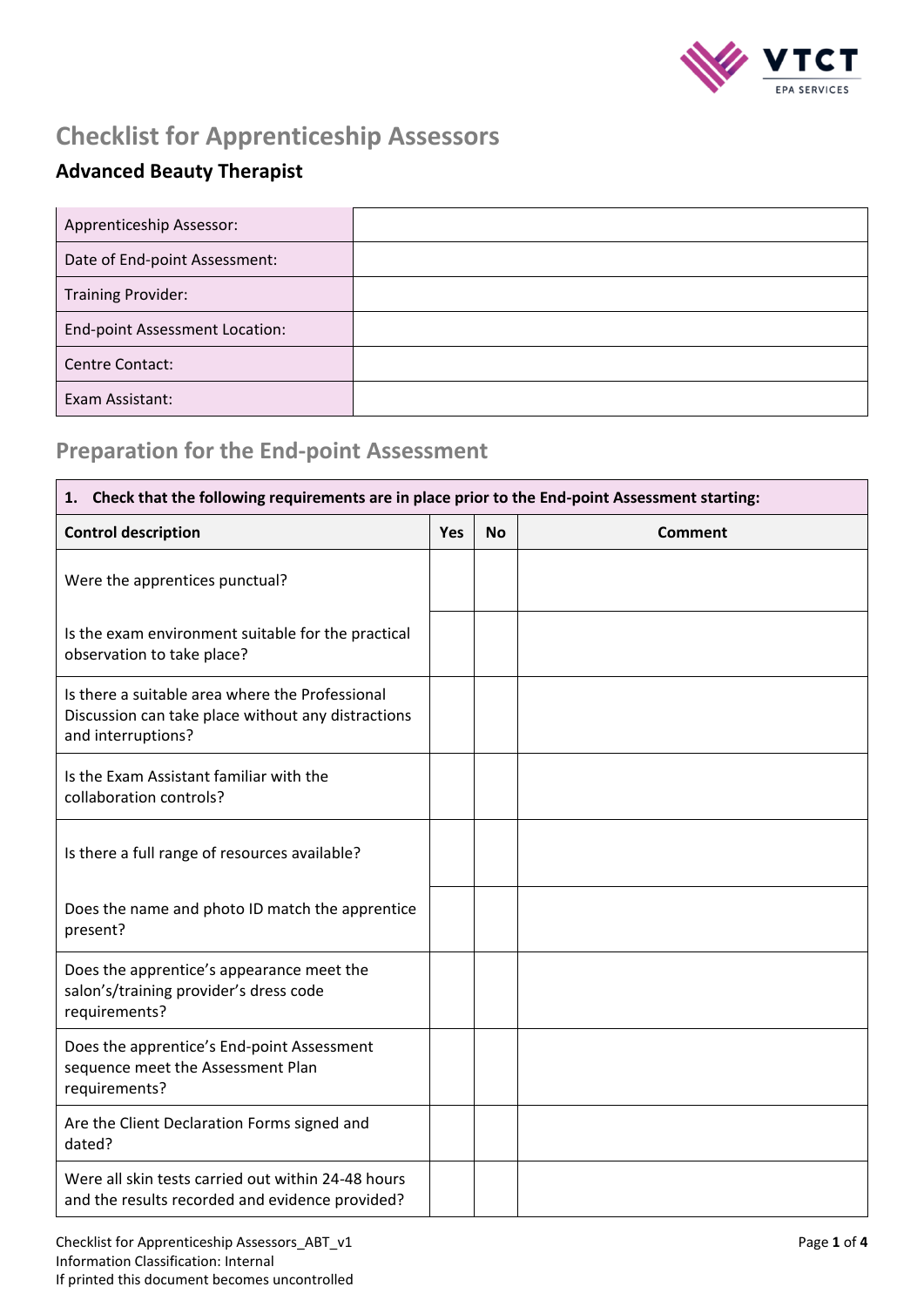

# **Checklist for Apprenticeship Assessors**

### **Advanced Beauty Therapist**

| Apprenticeship Assessor:              |  |
|---------------------------------------|--|
| Date of End-point Assessment:         |  |
| <b>Training Provider:</b>             |  |
| <b>End-point Assessment Location:</b> |  |
| Centre Contact:                       |  |
| Exam Assistant:                       |  |

### **Preparation for the End-point Assessment**

| Check that the following requirements are in place prior to the End-point Assessment starting:<br>1.                        |     |           |                |
|-----------------------------------------------------------------------------------------------------------------------------|-----|-----------|----------------|
| <b>Control description</b>                                                                                                  | Yes | <b>No</b> | <b>Comment</b> |
| Were the apprentices punctual?                                                                                              |     |           |                |
| Is the exam environment suitable for the practical<br>observation to take place?                                            |     |           |                |
| Is there a suitable area where the Professional<br>Discussion can take place without any distractions<br>and interruptions? |     |           |                |
| Is the Exam Assistant familiar with the<br>collaboration controls?                                                          |     |           |                |
| Is there a full range of resources available?                                                                               |     |           |                |
| Does the name and photo ID match the apprentice<br>present?                                                                 |     |           |                |
| Does the apprentice's appearance meet the<br>salon's/training provider's dress code<br>requirements?                        |     |           |                |
| Does the apprentice's End-point Assessment<br>sequence meet the Assessment Plan<br>requirements?                            |     |           |                |
| Are the Client Declaration Forms signed and<br>dated?                                                                       |     |           |                |
| Were all skin tests carried out within 24-48 hours<br>and the results recorded and evidence provided?                       |     |           |                |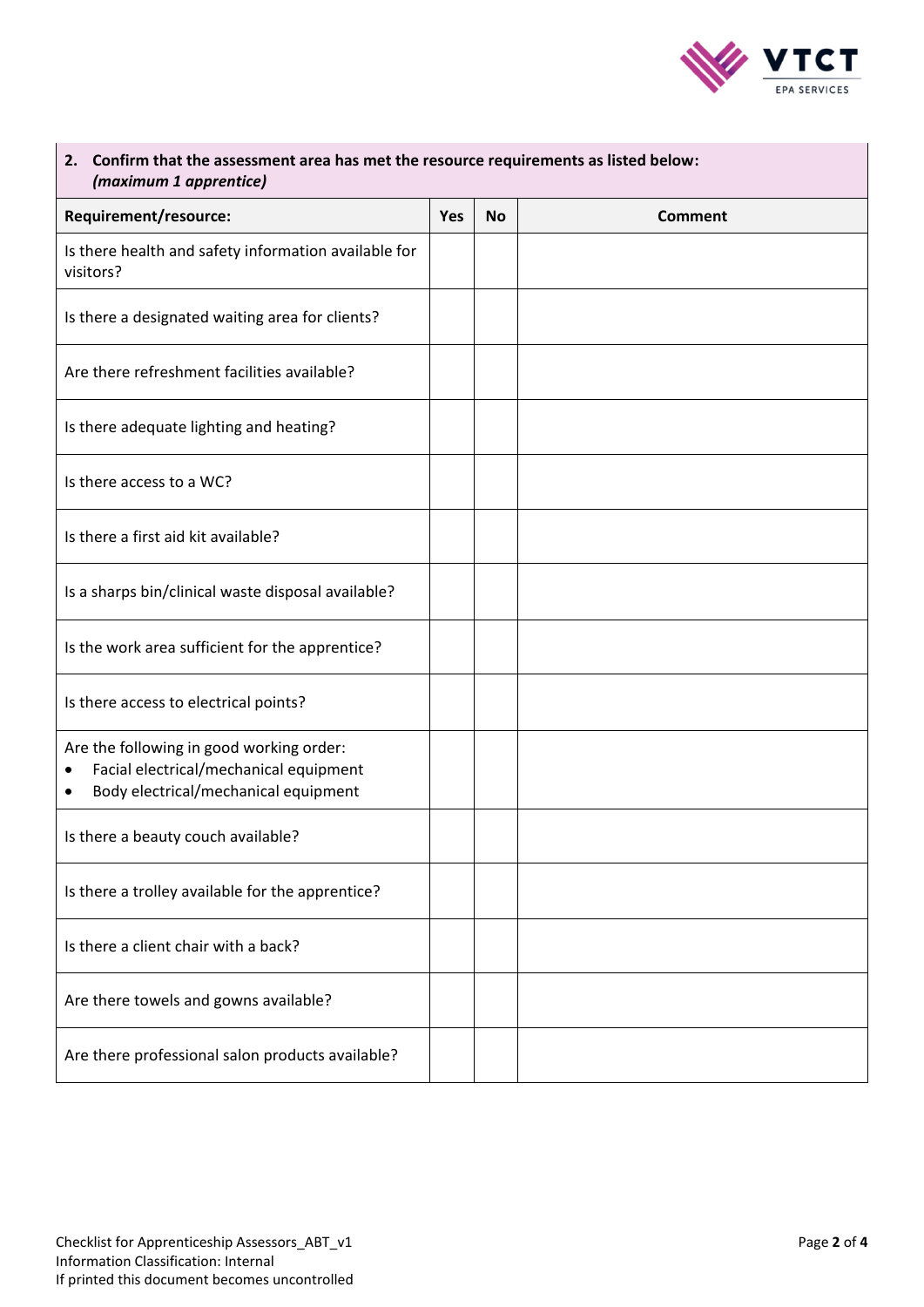

| Confirm that the assessment area has met the resource requirements as listed below:<br>2.<br>(maximum 1 apprentice)                  |     |           |                |
|--------------------------------------------------------------------------------------------------------------------------------------|-----|-----------|----------------|
| Requirement/resource:                                                                                                                | Yes | <b>No</b> | <b>Comment</b> |
| Is there health and safety information available for<br>visitors?                                                                    |     |           |                |
| Is there a designated waiting area for clients?                                                                                      |     |           |                |
| Are there refreshment facilities available?                                                                                          |     |           |                |
| Is there adequate lighting and heating?                                                                                              |     |           |                |
| Is there access to a WC?                                                                                                             |     |           |                |
| Is there a first aid kit available?                                                                                                  |     |           |                |
| Is a sharps bin/clinical waste disposal available?                                                                                   |     |           |                |
| Is the work area sufficient for the apprentice?                                                                                      |     |           |                |
| Is there access to electrical points?                                                                                                |     |           |                |
| Are the following in good working order:<br>Facial electrical/mechanical equipment<br>٠<br>Body electrical/mechanical equipment<br>٠ |     |           |                |
| Is there a beauty couch available?                                                                                                   |     |           |                |
| Is there a trolley available for the apprentice?                                                                                     |     |           |                |
| Is there a client chair with a back?                                                                                                 |     |           |                |
| Are there towels and gowns available?                                                                                                |     |           |                |
| Are there professional salon products available?                                                                                     |     |           |                |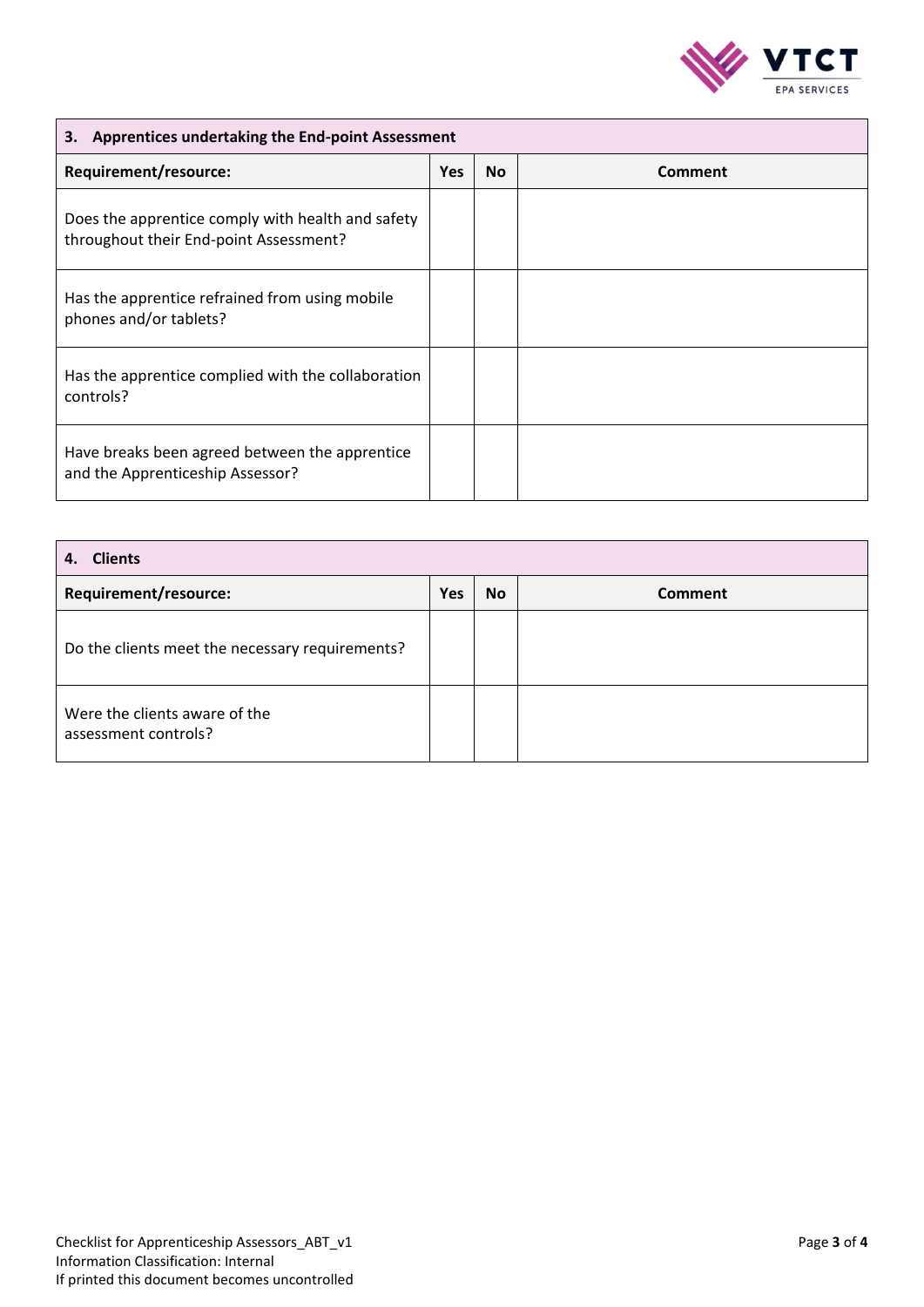

### **3. Apprentices undertaking the End-point Assessment**

| Requirement/resource:                                                                       | <b>Yes</b> | <b>No</b> | Comment |
|---------------------------------------------------------------------------------------------|------------|-----------|---------|
| Does the apprentice comply with health and safety<br>throughout their End-point Assessment? |            |           |         |
| Has the apprentice refrained from using mobile<br>phones and/or tablets?                    |            |           |         |
| Has the apprentice complied with the collaboration<br>controls?                             |            |           |         |
| Have breaks been agreed between the apprentice<br>and the Apprenticeship Assessor?          |            |           |         |

| <b>Clients</b><br>4.                                  |            |           |                |
|-------------------------------------------------------|------------|-----------|----------------|
| Requirement/resource:                                 | <b>Yes</b> | <b>No</b> | <b>Comment</b> |
| Do the clients meet the necessary requirements?       |            |           |                |
| Were the clients aware of the<br>assessment controls? |            |           |                |